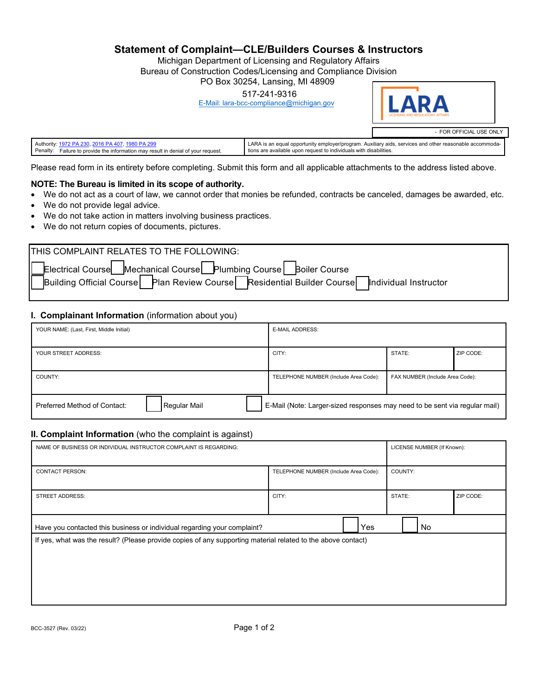**Statement of Complaint—CLE/Builders Courses & Instructors**

Michigan Department of Licensing and Regulatory Affairs

Bureau of Construction Codes/Licensing and Compliance Division

PO Box 30254, Lansing, MI 48909

517-241-9316

[E-Mail: lara-bcc-compliance@michigan.gov](mailto:E-Mail:%20lara-bcc-compliance@michigan.gov)



| Authority:<br>-2016 PA                                                               | A is an equal opportunity employer/program. Auxiliary aids, services and other reasonable accommoda-<br>. LARA 1 |
|--------------------------------------------------------------------------------------|------------------------------------------------------------------------------------------------------------------|
| Penalty.<br>Failure to provide the information may result in denial of your request. | tions are available upon request to individuals with disabilities.                                               |

Please read form in its entirety before completing. Submit this form and all applicable attachments to the address listed above.

## **NOTE: The Bureau is limited in its scope of authority.**

- We do not act as a court of law, we cannot order that monies be refunded, contracts be canceled, damages be awarded, etc.
- We do not provide legal advice.
- We do not take action in matters involving business practices.
- We do not return copies of documents, pictures.

## **I. Complainant Information** (information about you)

| YOUR NAME: (Last, First, Middle Initial)                                                                                   |  | <b>E-MAIL ADDRESS:</b>                |                                 |           |
|----------------------------------------------------------------------------------------------------------------------------|--|---------------------------------------|---------------------------------|-----------|
| YOUR STREET ADDRESS:                                                                                                       |  | CITY:                                 | STATE:                          | ZIP CODE: |
| COUNTY:                                                                                                                    |  | TELEPHONE NUMBER (Include Area Code): | FAX NUMBER (Include Area Code): |           |
| Regular Mail<br>E-Mail (Note: Larger-sized responses may need to be sent via regular mail)<br>Preferred Method of Contact: |  |                                       |                                 |           |

## **II. Complaint Information** (who the complaint is against)

| NAME OF BUSINESS OR INDIVIDUAL INSTRUCTOR COMPLAINT IS REGARDING:                                                                                                                        | LICENSE NUMBER (If Known):            |         |           |
|------------------------------------------------------------------------------------------------------------------------------------------------------------------------------------------|---------------------------------------|---------|-----------|
| <b>CONTACT PERSON:</b>                                                                                                                                                                   | TELEPHONE NUMBER (Include Area Code): | COUNTY: |           |
| <b>STREET ADDRESS:</b>                                                                                                                                                                   | CITY:                                 | STATE:  | ZIP CODE: |
| Have you contacted this business or individual regarding your complaint?<br>If yes, what was the result? (Please provide copies of any supporting material related to the above contact) | Yes                                   | No      |           |